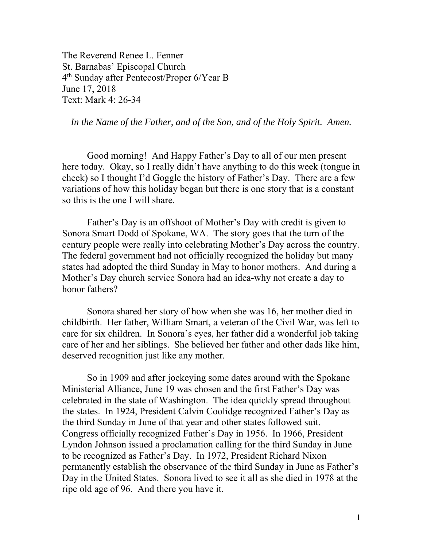The Reverend Renee L. Fenner St. Barnabas' Episcopal Church 4th Sunday after Pentecost/Proper 6/Year B June 17, 2018 Text: Mark 4: 26-34

*In the Name of the Father, and of the Son, and of the Holy Spirit. Amen.* 

Good morning! And Happy Father's Day to all of our men present here today. Okay, so I really didn't have anything to do this week (tongue in cheek) so I thought I'd Goggle the history of Father's Day. There are a few variations of how this holiday began but there is one story that is a constant so this is the one I will share.

Father's Day is an offshoot of Mother's Day with credit is given to Sonora Smart Dodd of Spokane, WA. The story goes that the turn of the century people were really into celebrating Mother's Day across the country. The federal government had not officially recognized the holiday but many states had adopted the third Sunday in May to honor mothers. And during a Mother's Day church service Sonora had an idea-why not create a day to honor fathers?

Sonora shared her story of how when she was 16, her mother died in childbirth. Her father, William Smart, a veteran of the Civil War, was left to care for six children. In Sonora's eyes, her father did a wonderful job taking care of her and her siblings. She believed her father and other dads like him, deserved recognition just like any mother.

So in 1909 and after jockeying some dates around with the Spokane Ministerial Alliance, June 19 was chosen and the first Father's Day was celebrated in the state of Washington. The idea quickly spread throughout the states. In 1924, President Calvin Coolidge recognized Father's Day as the third Sunday in June of that year and other states followed suit. Congress officially recognized Father's Day in 1956. In 1966, President Lyndon Johnson issued a proclamation calling for the third Sunday in June to be recognized as Father's Day. In 1972, President Richard Nixon permanently establish the observance of the third Sunday in June as Father's Day in the United States. Sonora lived to see it all as she died in 1978 at the ripe old age of 96. And there you have it.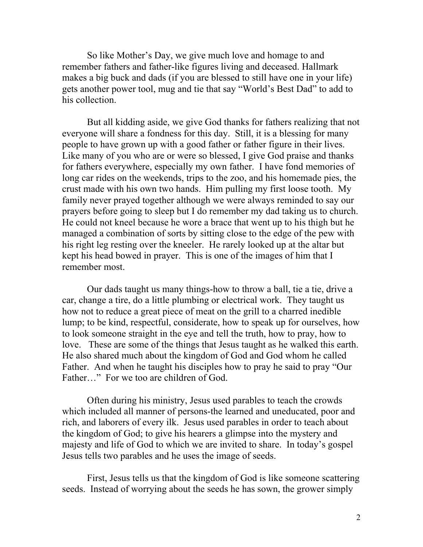So like Mother's Day, we give much love and homage to and remember fathers and father-like figures living and deceased. Hallmark makes a big buck and dads (if you are blessed to still have one in your life) gets another power tool, mug and tie that say "World's Best Dad" to add to his collection.

But all kidding aside, we give God thanks for fathers realizing that not everyone will share a fondness for this day. Still, it is a blessing for many people to have grown up with a good father or father figure in their lives. Like many of you who are or were so blessed, I give God praise and thanks for fathers everywhere, especially my own father. I have fond memories of long car rides on the weekends, trips to the zoo, and his homemade pies, the crust made with his own two hands. Him pulling my first loose tooth. My family never prayed together although we were always reminded to say our prayers before going to sleep but I do remember my dad taking us to church. He could not kneel because he wore a brace that went up to his thigh but he managed a combination of sorts by sitting close to the edge of the pew with his right leg resting over the kneeler. He rarely looked up at the altar but kept his head bowed in prayer. This is one of the images of him that I remember most.

Our dads taught us many things-how to throw a ball, tie a tie, drive a car, change a tire, do a little plumbing or electrical work. They taught us how not to reduce a great piece of meat on the grill to a charred inedible lump; to be kind, respectful, considerate, how to speak up for ourselves, how to look someone straight in the eye and tell the truth, how to pray, how to love. These are some of the things that Jesus taught as he walked this earth. He also shared much about the kingdom of God and God whom he called Father. And when he taught his disciples how to pray he said to pray "Our Father..." For we too are children of God.

Often during his ministry, Jesus used parables to teach the crowds which included all manner of persons-the learned and uneducated, poor and rich, and laborers of every ilk. Jesus used parables in order to teach about the kingdom of God; to give his hearers a glimpse into the mystery and majesty and life of God to which we are invited to share. In today's gospel Jesus tells two parables and he uses the image of seeds.

First, Jesus tells us that the kingdom of God is like someone scattering seeds. Instead of worrying about the seeds he has sown, the grower simply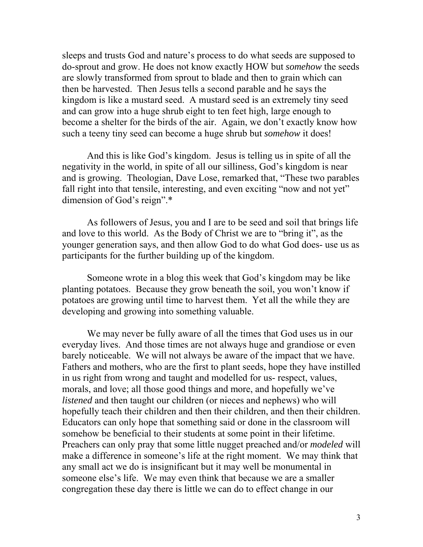sleeps and trusts God and nature's process to do what seeds are supposed to do-sprout and grow. He does not know exactly HOW but *somehow* the seeds are slowly transformed from sprout to blade and then to grain which can then be harvested. Then Jesus tells a second parable and he says the kingdom is like a mustard seed. A mustard seed is an extremely tiny seed and can grow into a huge shrub eight to ten feet high, large enough to become a shelter for the birds of the air. Again, we don't exactly know how such a teeny tiny seed can become a huge shrub but *somehow* it does!

And this is like God's kingdom. Jesus is telling us in spite of all the negativity in the world, in spite of all our silliness, God's kingdom is near and is growing. Theologian, Dave Lose, remarked that, "These two parables fall right into that tensile, interesting, and even exciting "now and not yet" dimension of God's reign".\*

As followers of Jesus, you and I are to be seed and soil that brings life and love to this world. As the Body of Christ we are to "bring it", as the younger generation says, and then allow God to do what God does- use us as participants for the further building up of the kingdom.

Someone wrote in a blog this week that God's kingdom may be like planting potatoes. Because they grow beneath the soil, you won't know if potatoes are growing until time to harvest them. Yet all the while they are developing and growing into something valuable.

We may never be fully aware of all the times that God uses us in our everyday lives. And those times are not always huge and grandiose or even barely noticeable. We will not always be aware of the impact that we have. Fathers and mothers, who are the first to plant seeds, hope they have instilled in us right from wrong and taught and modelled for us- respect, values, morals, and love; all those good things and more, and hopefully we've *listened* and then taught our children (or nieces and nephews) who will hopefully teach their children and then their children, and then their children. Educators can only hope that something said or done in the classroom will somehow be beneficial to their students at some point in their lifetime. Preachers can only pray that some little nugget preached and/or *modeled* will make a difference in someone's life at the right moment. We may think that any small act we do is insignificant but it may well be monumental in someone else's life. We may even think that because we are a smaller congregation these day there is little we can do to effect change in our